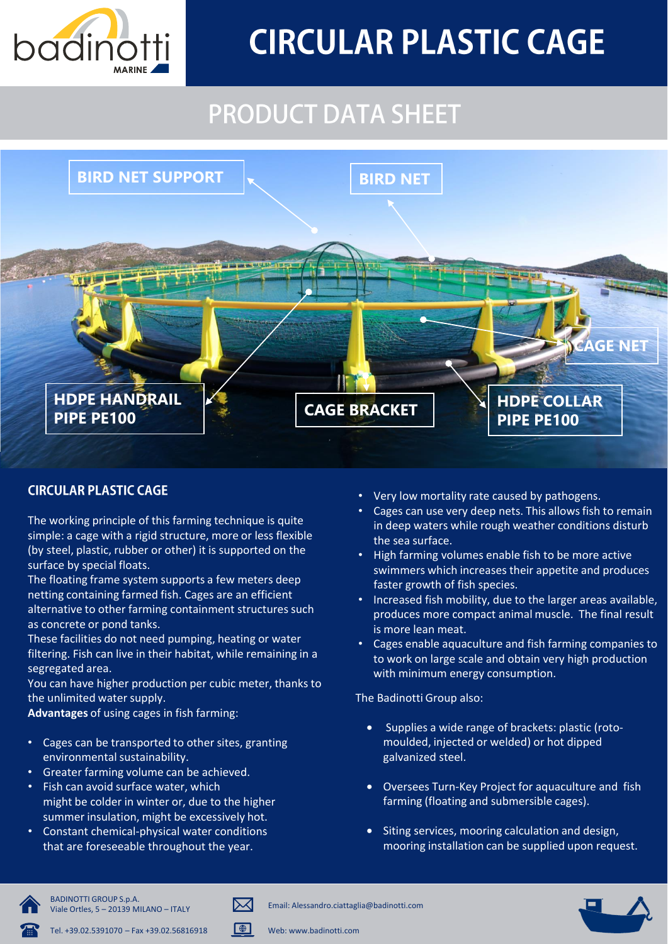

# **CIRCULAR PLASTIC CAGE**

## **PRODUCT DATA SHEET**



#### **CIRCULAR PLASTIC CAGE**

The working principle of this farming technique is quite simple: a cage with a rigid structure, more or less flexible (by steel, plastic, rubber or other) it is supported on the surface by special floats.

The floating frame system supports a few meters deep netting containing farmed fish. Cages are an efficient alternative to other farming containment structures such as concrete or pond tanks.

These facilities do not need pumping, heating or water filtering. Fish can live in their habitat, while remaining in a segregated area.

You can have higher production per cubic meter, thanks to the unlimited water supply.

Advantages of using cages in fish farming:

- Cages can be transported to other sites, granting environmental sustainability.
- Greater farming volume can be achieved.
- Fish can avoid surface water, which might be colder in winter or, due to the higher summer insulation, might be excessively hot.
- Constant chemical-physical water conditions that are foreseeable throughout the year.
- Very low mortality rate caused by pathogens.
- Cages can use very deep nets. This allows fish to remain in deep waters while rough weather conditions disturb the sea surface.
- High farming volumes enable fish to be more active swimmers which increases their appetite and produces faster growth of fish species.
- Increased fish mobility, due to the larger areas available, produces more compact animal muscle. The final result is more lean meat.
- Cages enable aquaculture and fish farming companies to to work on large scale and obtain very high production with minimum energy consumption.

The Badinotti Group also:

- Supplies a wide range of brackets: plastic (roto- $\bullet$ moulded, injected or welded) or hot dipped galvanized steel.
- Oversees Turn-Key Project for aquaculture and fish farming (floating and submersible cages).
- Siting services, mooring calculation and design. mooring installation can be supplied upon request.



**BADINOTTI GROUP S.p.A.** Viale Ortles, 5 - 20139 MILANO - ITALY





ℕ⋌

 $\blacksquare$